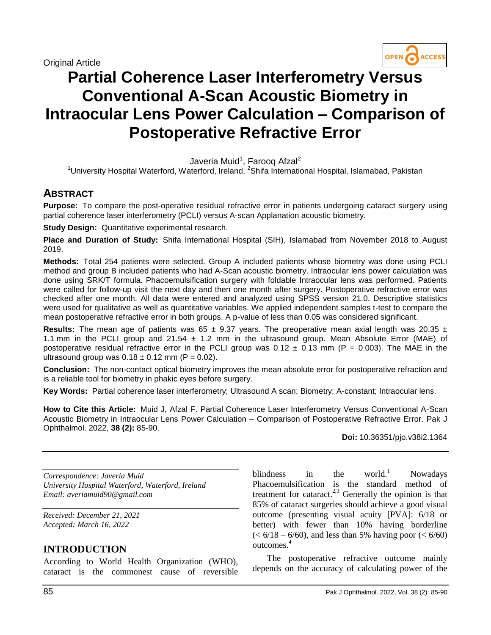

# **Partial Coherence Laser Interferometry Versus Conventional A-Scan Acoustic Biometry in Intraocular Lens Power Calculation – Comparison of Postoperative Refractive Error**

Javeria Muid<sup>1</sup>, Farooq Afzal<sup>2</sup>

<sup>1</sup>University Hospital Waterford, Waterford, Ireland, <sup>2</sup>Shifa International Hospital, Islamabad, Pakistan

## **ABSTRACT**

**Purpose:** To compare the post-operative residual refractive error in patients undergoing cataract surgery using partial coherence laser interferometry (PCLI) versus A-scan Applanation acoustic biometry.

**Study Design:** Quantitative experimental research.

**Place and Duration of Study:** Shifa International Hospital (SIH), Islamabad from November 2018 to August 2019.

**Methods:** Total 254 patients were selected. Group A included patients whose biometry was done using PCLI method and group B included patients who had A-Scan acoustic biometry. Intraocular lens power calculation was done using SRK/T formula. Phacoemulsification surgery with foldable Intraocular lens was performed. Patients were called for follow-up visit the next day and then one month after surgery. Postoperative refractive error was checked after one month. All data were entered and analyzed using SPSS version 21.0. Descriptive statistics were used for qualitative as well as quantitative variables. We applied independent samples t-test to compare the mean postoperative refractive error in both groups. A p-value of less than 0.05 was considered significant.

**Results:** The mean age of patients was  $65 \pm 9.37$  years. The preoperative mean axial length was 20.35  $\pm$ 1.1 mm in the PCLI group and 21.54  $\pm$  1.2 mm in the ultrasound group. Mean Absolute Error (MAE) of postoperative residual refractive error in the PCLI group was  $0.12 \pm 0.13$  mm (P = 0.003). The MAE in the ultrasound group was  $0.18 \pm 0.12$  mm (P = 0.02).

**Conclusion:** The non-contact optical biometry improves the mean absolute error for postoperative refraction and is a reliable tool for biometry in phakic eyes before surgery.

**Key Words:** Partial coherence laser interferometry; Ultrasound A scan; Biometry; A-constant; Intraocular lens.

**How to Cite this Article:** Muid J, Afzal F. Partial Coherence Laser Interferometry Versus Conventional A-Scan Acoustic Biometry in Intraocular Lens Power Calculation – Comparison of Postoperative Refractive Error. Pak J Ophthalmol. 2022, **38 (2):** 85-90.

**Doi:** 10.36351/pjo.v38i2.1364

*Correspondence: Javeria Muid University Hospital Waterford, Waterford, Ireland Email: averiamuid90@gmail.com*

*Received: December 21, 2021 Accepted: March 16, 2022*

## **INTRODUCTION**

According to World Health Organization (WHO), cataract is the commonest cause of reversible blindness in the world.<sup>1</sup> Nowadays Phacoemulsification is the standard method of treatment for cataract.<sup>2,3</sup> Generally the opinion is that 85% of cataract surgeries should achieve a good visual outcome (presenting visual acuity [PVA]: 6/18 or better) with fewer than 10% having borderline  $(< 6/18 - 6/60)$ , and less than 5% having poor  $(< 6/60)$ outcomes. 4

The postoperative refractive outcome mainly depends on the accuracy of calculating power of the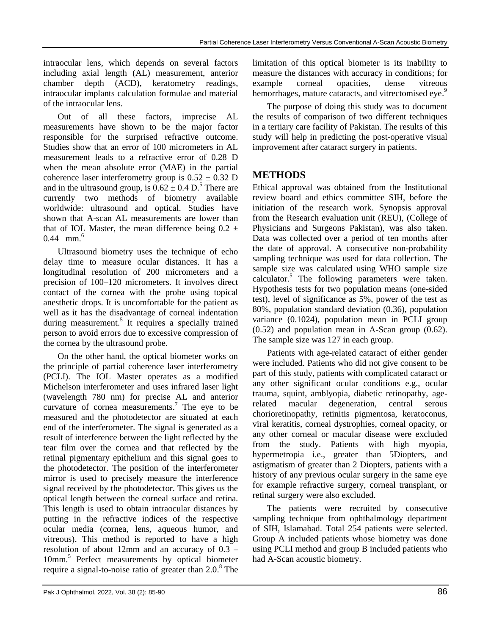intraocular lens, which depends on several factors including axial length (AL) measurement, anterior chamber depth (ACD), keratometry readings, intraocular implants calculation formulae and material of the intraocular lens.

Out of all these factors, imprecise AL measurements have shown to be the major factor responsible for the surprised refractive outcome. Studies show that an error of 100 micrometers in AL measurement leads to a refractive error of 0.28 D when the mean absolute error (MAE) in the partial coherence laser interferometry group is  $0.52 \pm 0.32$  D and in the ultrasound group, is  $0.62 \pm 0.4$  D.<sup>5</sup> There are currently two methods of biometry available worldwide: ultrasound and optical. Studies have shown that A-scan AL measurements are lower than that of IOL Master, the mean difference being  $0.2 \pm$ 0.44 mm.<sup>6</sup>

Ultrasound biometry uses the technique of echo delay time to measure ocular distances. It has a longitudinal resolution of 200 micrometers and a precision of 100–120 micrometers. It involves direct contact of the cornea with the probe using topical anesthetic drops. It is uncomfortable for the patient as well as it has the disadvantage of corneal indentation during measurement.<sup>5</sup> It requires a specially trained person to avoid errors due to excessive compression of the cornea by the ultrasound probe.

On the other hand, the optical biometer works on the principle of partial coherence laser interferometry (PCLI). The IOL Master operates as a modified Michelson interferometer and uses infrared laser light (wavelength 780 nm) for precise AL and anterior curvature of cornea measurements.<sup>7</sup> The eye to be measured and the photodetector are situated at each end of the interferometer. The signal is generated as a result of interference between the light reflected by the tear film over the cornea and that reflected by the retinal pigmentary epithelium and this signal goes to the photodetector. The position of the interferometer mirror is used to precisely measure the interference signal received by the photodetector. This gives us the optical length between the corneal surface and retina. This length is used to obtain intraocular distances by putting in the refractive indices of the respective ocular media (cornea, lens, aqueous humor, and vitreous). This method is reported to have a high resolution of about 12mm and an accuracy of 0.3 – 10mm. 5 Perfect measurements by optical biometer require a signal-to-noise ratio of greater than 2.0.<sup>8</sup> The limitation of this optical biometer is its inability to measure the distances with accuracy in conditions; for example corneal opacities, dense vitreous hemorrhages, mature cataracts, and vitrectomised eye.<sup>9</sup>

The purpose of doing this study was to document the results of comparison of two different techniques in a tertiary care facility of Pakistan. The results of this study will help in predicting the post-operative visual improvement after cataract surgery in patients.

## **METHODS**

Ethical approval was obtained from the Institutional review board and ethics committee SIH, before the initiation of the research work. Synopsis approval from the Research evaluation unit (REU), (College of Physicians and Surgeons Pakistan), was also taken. Data was collected over a period of ten months after the date of approval. A consecutive non-probability sampling technique was used for data collection. The sample size was calculated using WHO sample size calculator.<sup>5</sup> The following parameters were taken. Hypothesis tests for two population means (one-sided test), level of significance as 5%, power of the test as 80%, population standard deviation (0.36), population variance (0.1024), population mean in PCLI group (0.52) and population mean in A-Scan group (0.62). The sample size was 127 in each group.

Patients with age-related cataract of either gender were included. Patients who did not give consent to be part of this study, patients with complicated cataract or any other significant ocular conditions e.g., ocular trauma, squint, amblyopia, diabetic retinopathy, agerelated macular degeneration, central serous chorioretinopathy, retinitis pigmentosa, keratoconus, viral keratitis, corneal dystrophies, corneal opacity, or any other corneal or macular disease were excluded from the study. Patients with high myopia, hypermetropia i.e., greater than 5Diopters, and astigmatism of greater than 2 Diopters, patients with a history of any previous ocular surgery in the same eye for example refractive surgery, corneal transplant, or retinal surgery were also excluded.

The patients were recruited by consecutive sampling technique from ophthalmology department of SIH, Islamabad. Total 254 patients were selected. Group A included patients whose biometry was done using PCLI method and group B included patients who had A-Scan acoustic biometry.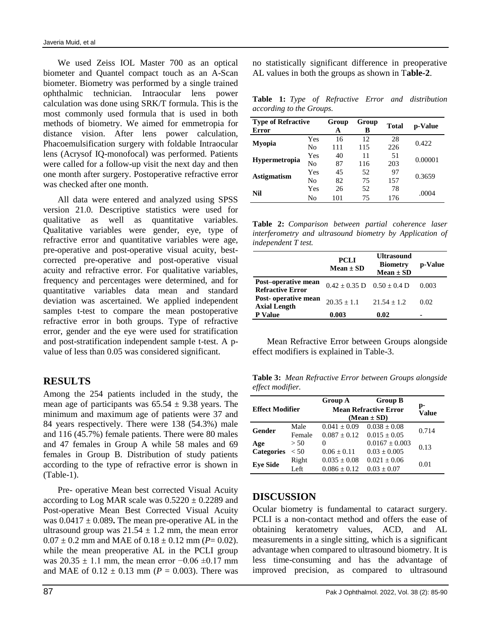We used Zeiss IOL Master 700 as an optical biometer and Quantel compact touch as an A-Scan biometer. Biometry was performed by a single trained ophthalmic technician. Intraocular lens power calculation was done using SRK/T formula. This is the most commonly used formula that is used in both methods of biometry. We aimed for emmetropia for distance vision. After lens power calculation, Phacoemulsification surgery with foldable Intraocular lens (Acrysof IQ-monofocal) was performed. Patients were called for a follow-up visit the next day and then one month after surgery. Postoperative refractive error was checked after one month.

All data were entered and analyzed using SPSS version 21.0. Descriptive statistics were used for qualitative as well as quantitative variables. Qualitative variables were gender, eye, type of refractive error and quantitative variables were age, pre-operative and post-operative visual acuity, bestcorrected pre-operative and post-operative visual acuity and refractive error. For qualitative variables, frequency and percentages were determined, and for quantitative variables data mean and standard deviation was ascertained. We applied independent samples t-test to compare the mean postoperative refractive error in both groups. Type of refractive error, gender and the eye were used for stratification and post-stratification independent sample t-test. A pvalue of less than 0.05 was considered significant.

### **RESULTS**

Among the 254 patients included in the study, the mean age of participants was  $65.54 \pm 9.38$  years. The minimum and maximum age of patients were 37 and 84 years respectively. There were 138 (54.3%) male and 116 (45.7%) female patients. There were 80 males and 47 females in Group A while 58 males and 69 females in Group B. Distribution of study patients according to the type of refractive error is shown in (Table-1).

Pre- operative Mean best corrected Visual Acuity according to Log MAR scale was  $0.5220 \pm 0.2289$  and Post-operative Mean Best Corrected Visual Acuity was  $0.0417 \pm 0.089$ . The mean pre-operative AL in the ultrasound group was  $21.54 \pm 1.2$  mm, the mean error  $0.07 \pm 0.2$  mm and MAE of  $0.18 \pm 0.12$  mm ( $P = 0.02$ ). while the mean preoperative AL in the PCLI group was  $20.35 \pm 1.1$  mm, the mean error  $-0.06 \pm 0.17$  mm and MAE of  $0.12 \pm 0.13$  mm ( $P = 0.003$ ). There was

no statistically significant difference in preoperative AL values in both the groups as shown in T**able-2**.

**Table 1:** *Type of Refractive Error and distribution according to the Groups.*

| <b>Type of Refractive</b><br>Error |                | Group<br>A | Group<br>в | Total | p-Value |  |
|------------------------------------|----------------|------------|------------|-------|---------|--|
| <b>Myopia</b>                      | Yes            | 16         | 12         | 28    | 0.422   |  |
|                                    | No             | 111        | 115        | 226   |         |  |
| <b>Hypermetropia</b>               | Yes            | 40         | 11         | 51    | 0.00001 |  |
|                                    | No             | 87         | 116        | 203   |         |  |
| <b>Astigmatism</b>                 | Yes            | 45         | 52         | 97    | 0.3659  |  |
|                                    | N <sub>0</sub> | 82         | 75         | 157   |         |  |
| Nil                                | Yes            | 26         | 52         | 78    | .0004   |  |
|                                    | No             | 101        | 75         | 176   |         |  |

**Table 2:** *Comparison between partial coherence laser interferometry and ultrasound biometry by Application of independent T test.*

|                                                | <b>PCLI</b><br>$Mean \pm SD$       | <b>Ultrasound</b><br><b>Biometry</b><br>$Mean \pm SD$ | p-Value |
|------------------------------------------------|------------------------------------|-------------------------------------------------------|---------|
| Post-operative mean<br><b>Refractive Error</b> | $0.42 \pm 0.35$ D $0.50 \pm 0.4$ D |                                                       | 0.003   |
| Post-operative mean<br><b>Axial Length</b>     | $20.35 \pm 1.1$                    | $21.54 + 1.2$                                         | 0.02    |
| <b>P</b> Value                                 | 0.003                              | 0.02                                                  | -       |

Mean Refractive Error between Groups alongside effect modifiers is explained in Table-3.

**Table 3:** *Mean Refractive Error between Groups alongside effect modifier.*

| <b>Effect Modifier</b> |                | <b>Group A</b><br><b>Group B</b><br><b>Mean Refractive Error</b><br>$(Mean \pm SD)$ |                                      | p-<br><b>Value</b> |  |
|------------------------|----------------|-------------------------------------------------------------------------------------|--------------------------------------|--------------------|--|
| Gender                 | Male<br>Female | $0.041 + 0.09$<br>$0.087 + 0.12$                                                    | $0.038 \pm 0.08$<br>$0.015 \pm 0.05$ | 0.714              |  |
| Age                    | > 50           | 0                                                                                   | $0.0167 \pm 0.003$                   | 0.13               |  |
| <b>Categories</b>      | < 50           | $0.06 + 0.11$                                                                       | $0.03 + 0.005$                       |                    |  |
| <b>Eve Side</b>        | Right          | $0.035 \pm 0.08$                                                                    | $0.021 \pm 0.06$                     | 0.01               |  |
|                        | Left           | $0.086 + 0.12$                                                                      | $0.03 + 0.07$                        |                    |  |

### **DISCUSSION**

Ocular biometry is fundamental to cataract surgery. PCLI is a non-contact method and offers the ease of obtaining keratometry values, ACD, and AL measurements in a single sitting, which is a significant advantage when compared to ultrasound biometry. It is less time-consuming and has the advantage of improved precision, as compared to ultrasound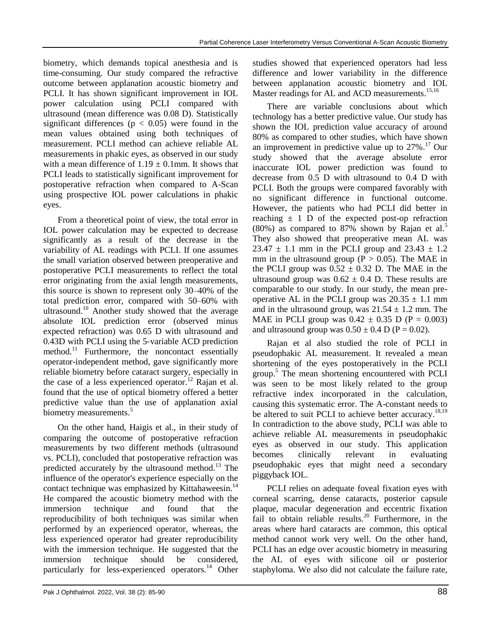biometry, which demands topical anesthesia and is time-consuming. Our study compared the refractive outcome between applanation acoustic biometry and PCLI. It has shown significant improvement in IOL power calculation using PCLI compared with ultrasound (mean difference was 0.08 D). Statistically significant differences ( $p < 0.05$ ) were found in the mean values obtained using both techniques of measurement. PCLI method can achieve reliable AL measurements in phakic eyes, as observed in our study with a mean difference of  $1.19 \pm 0.1$  mm. It shows that PCLI leads to statistically significant improvement for postoperative refraction when compared to A-Scan using prospective IOL power calculations in phakic eyes.

From a theoretical point of view, the total error in IOL power calculation may be expected to decrease significantly as a result of the decrease in the variability of AL readings with PCLI. If one assumes the small variation observed between preoperative and postoperative PCLI measurements to reflect the total error originating from the axial length measurements, this source is shown to represent only 30–40% of the total prediction error, compared with 50–60% with ultrasound.<sup>10</sup> Another study showed that the average absolute IOL prediction error (observed minus expected refraction) was 0.65 D with ultrasound and 0.43D with PCLI using the 5‐variable ACD prediction method.<sup>11</sup> Furthermore, the noncontact essentially operator-independent method, gave significantly more reliable biometry before cataract surgery, especially in the case of a less experienced operator.<sup>12</sup> Rajan et al. found that the use of optical biometry offered a better predictive value than the use of applanation axial biometry measurements.<sup>5</sup>

On the other hand, Haigis et al., in their study of comparing the outcome of postoperative refraction measurements by two different methods (ultrasound vs. PCLI), concluded that postoperative refraction was predicted accurately by the ultrasound method.<sup>13</sup> The influence of the operator's experience especially on the contact technique was emphasized by Kittahaweesin.<sup>14</sup> He compared the acoustic biometry method with the immersion technique and found that the reproducibility of both techniques was similar when performed by an experienced operator, whereas, the less experienced operator had greater reproducibility with the immersion technique. He suggested that the immersion technique should be considered, particularly for less-experienced operators.<sup>14</sup> Other

studies showed that experienced operators had less difference and lower variability in the difference between applanation acoustic biometry and IOL Master readings for AL and ACD measurements.<sup>15,16</sup>

There are variable conclusions about which technology has a better predictive value. Our study has shown the IOL prediction value accuracy of around 80% as compared to other studies, which have shown an improvement in predictive value up to 27%. <sup>17</sup> Our study showed that the average absolute error inaccurate IOL power prediction was found to decrease from 0.5 D with ultrasound to 0.4 D with PCLI. Both the groups were compared favorably with no significant difference in functional outcome. However, the patients who had PCLI did better in reaching  $\pm$  1 D of the expected post-op refraction (80%) as compared to 87% shown by Rajan et al. 5 They also showed that preoperative mean AL was  $23.47 \pm 1.1$  mm in the PCLI group and  $23.43 \pm 1.2$ mm in the ultrasound group ( $P > 0.05$ ). The MAE in the PCLI group was  $0.52 \pm 0.32$  D. The MAE in the ultrasound group was  $0.62 \pm 0.4$  D. These results are comparable to our study. In our study, the mean preoperative AL in the PCLI group was  $20.35 \pm 1.1$  mm and in the ultrasound group, was  $21.54 \pm 1.2$  mm. The MAE in PCLI group was  $0.42 \pm 0.35$  D (P = 0.003) and ultrasound group was  $0.50 \pm 0.4$  D (P = 0.02).

Rajan et al also studied the role of PCLI in pseudophakic AL measurement. It revealed a mean shortening of the eyes postoperatively in the PCLI group. <sup>5</sup> The mean shortening encountered with PCLI was seen to be most likely related to the group refractive index incorporated in the calculation, causing this systematic error. The A-constant needs to be altered to suit PCLI to achieve better accuracy.<sup>18,19</sup> In contradiction to the above study, PCLI was able to achieve reliable AL measurements in pseudophakic eyes as observed in our study. This application becomes clinically relevant in evaluating pseudophakic eyes that might need a secondary piggyback IOL.

PCLI relies on adequate foveal fixation eyes with corneal scarring, dense cataracts, posterior capsule plaque, macular degeneration and eccentric fixation fail to obtain reliable results.<sup>20</sup> Furthermore, in the areas where hard cataracts are common, this optical method cannot work very well. On the other hand, PCLI has an edge over acoustic biometry in measuring the AL of eyes with silicone oil or posterior staphyloma. We also did not calculate the failure rate,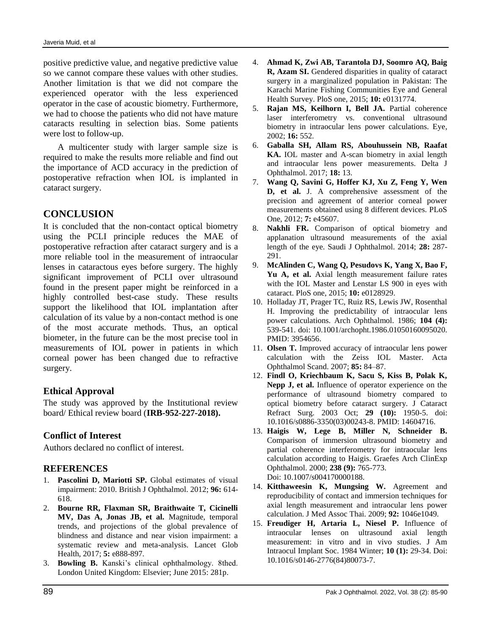positive predictive value, and negative predictive value so we cannot compare these values with other studies. Another limitation is that we did not compare the experienced operator with the less experienced operator in the case of acoustic biometry. Furthermore, we had to choose the patients who did not have mature cataracts resulting in selection bias. Some patients were lost to follow-up.

A multicenter study with larger sample size is required to make the results more reliable and find out the importance of ACD accuracy in the prediction of postoperative refraction when IOL is implanted in cataract surgery.

## **CONCLUSION**

It is concluded that the non-contact optical biometry using the PCLI principle reduces the MAE of postoperative refraction after cataract surgery and is a more reliable tool in the measurement of intraocular lenses in cataractous eyes before surgery. The highly significant improvement of PCLI over ultrasound found in the present paper might be reinforced in a highly controlled best-case study. These results support the likelihood that IOL implantation after calculation of its value by a non-contact method is one of the most accurate methods. Thus, an optical biometer, in the future can be the most precise tool in measurements of IOL power in patients in which corneal power has been changed due to refractive surgery.

#### **Ethical Approval**

The study was approved by the Institutional review board/ Ethical review board (**IRB-952-227-2018).**

#### **Conflict of Interest**

Authors declared no conflict of interest.

#### **REFERENCES**

- 1. **Pascolini D, Mariotti SP.** Global estimates of visual impairment: 2010. British J Ophthalmol. 2012; **96:** 614- 618.
- 2. **Bourne RR, Flaxman SR, Braithwaite T, Cicinelli MV, Das A, Jonas JB, et al.** Magnitude, temporal trends, and projections of the global prevalence of blindness and distance and near vision impairment: a systematic review and meta-analysis. Lancet Glob Health, 2017; **5:** e888-897.
- 3. **Bowling B.** Kanski's clinical ophthalmology. 8thed. London United Kingdom: Elsevier; June 2015: 281p.
- 4. **Ahmad K, Zwi AB, Tarantola DJ, Soomro AQ, Baig R, Azam SI.** Gendered disparities in quality of cataract surgery in a marginalized population in Pakistan: The Karachi Marine Fishing Communities Eye and General Health Survey. PloS one, 2015; **10:** e0131774.
- 5. **Rajan MS, Keilhorn I, Bell JA.** Partial coherence laser interferometry vs. conventional ultrasound biometry in intraocular lens power calculations. Eye, 2002; **16:** 552.
- 6. **Gaballa SH, Allam RS, Abouhussein NB, Raafat KA.** IOL master and A-scan biometry in axial length and intraocular lens power measurements. Delta J Ophthalmol. 2017; **18:** 13.
- 7. **Wang Q, Savini G, Hoffer KJ, Xu Z, Feng Y, Wen D, et al.** J. A comprehensive assessment of the precision and agreement of anterior corneal power measurements obtained using 8 different devices. PLoS One, 2012; **7:** e45607.
- 8. **Nakhli FR.** Comparison of optical biometry and applanation ultrasound measurements of the axial length of the eye. Saudi J Ophthalmol. 2014; **28:** 287- 291.
- 9. **McAlinden C, Wang Q, Pesudovs K, Yang X, Bao F,**  Yu A, et al. Axial length measurement failure rates with the IOL Master and Lenstar LS 900 in eyes with cataract. PloS one, 2015; **10:** e0128929.
- 10. Holladay JT, Prager TC, Ruiz RS, Lewis JW, Rosenthal H. Improving the predictability of intraocular lens power calculations. Arch Ophthalmol. 1986; **104 (4):** 539-541. doi: 10.1001/archopht.1986.01050160095020. PMID: 3954656.
- 11. **Olsen T.** Improved accuracy of intraocular lens power calculation with the Zeiss IOL Master. Acta Ophthalmol Scand. 2007; **85:** 84–87.
- 12. **Findl O, Kriechbaum K, Sacu S, Kiss B, Polak K, Nepp J, et al.** Influence of operator experience on the performance of ultrasound biometry compared to optical biometry before cataract surgery. J Cataract Refract Surg. 2003 Oct; **29 (10):** 1950-5. doi: 10.1016/s0886-3350(03)00243-8. PMID: 14604716.
- 13. **Haigis W, Lege B, Miller N, Schneider B.** Comparison of immersion ultrasound biometry and partial coherence interferometry for intraocular lens calculation according to Haigis. Graefes Arch ClinExp Ophthalmol. 2000; **238 (9):** 765-773. Doi: 10.1007/s004170000188.
- 14. **Kitthaweesin K, Mungsing W.** Agreement and reproducibility of contact and immersion techniques for axial length measurement and intraocular lens power calculation. J Med Assoc Thai. 2009; **92:** 1046e1049.
- 15. **Freudiger H, Artaria L, Niesel P.** Influence of intraocular lenses on ultrasound axial length measurement: in vitro and in vivo studies. J Am Intraocul Implant Soc. 1984 Winter; **10 (1):** 29-34. Doi: 10.1016/s0146-2776(84)80073-7.